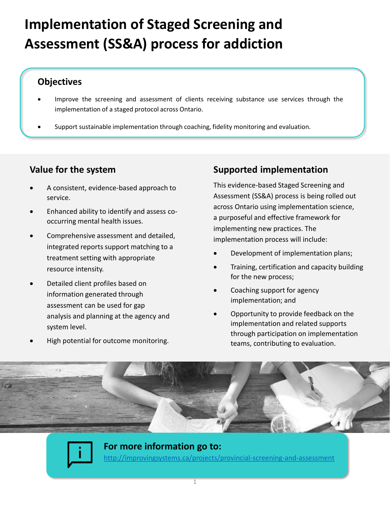# **Implementation of Staged Screening and Assessment (SS&A) process for addiction**

### **Objectives**

- Improve the screening and assessment of clients receiving substance use services through the implementation of a staged protocol across Ontario.
- Support sustainable implementation through coaching, fidelity monitoring and evaluation.

# **Value for the system**

- A consistent, evidence-based approach to service.
- Enhanced ability to identify and assess cooccurring mental health issues.
- Comprehensive assessment and detailed, integrated reports support matching to a treatment setting with appropriate resource intensity.
- Detailed client profiles based on information generated through assessment can be used for gap analysis and planning at the agency and system level.
- High potential for outcome monitoring.

# **Supported implementation**

This evidence-based Staged Screening and Assessment (SS&A) process is being rolled out across Ontario using implementation science, a purposeful and effective framework for implementing new practices. The implementation process will include:

- Development of implementation plans;
- Training, certification and capacity building for the new process;
- Coaching support for agency implementation; and
- Opportunity to provide feedback on the implementation and related supports through participation on implementation teams, contributing to evaluation.





**For more information go to:**  <http://improvingsystems.ca/projects/provincial-screening-and-assessment>